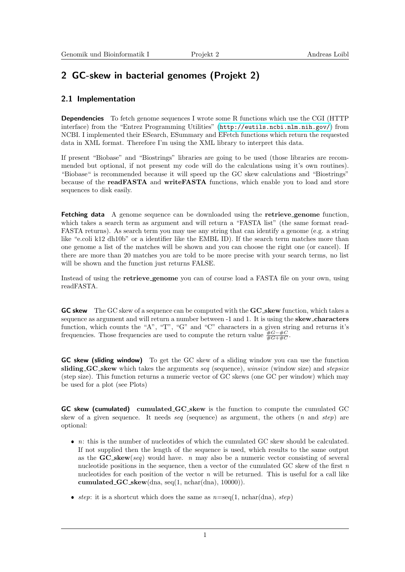# 2 GC-skew in bacterial genomes (Projekt 2)

### 2.1 Implementation

**Dependencies** To fetch genome sequences I wrote some R functions which use the CGI (HTTP) interface) from the "Entrez Programming Utilities" (<http://eutils.ncbi.nlm.nih.gov/>) from NCBI. I implemented their ESearch, ESummary and EFetch functions which return the requested data in XML format. Therefore I'm using the XML library to interpret this data.

If present "Biobase" and "Biostrings" libraries are going to be used (those libraries are recommended but optional, if not present my code will do the calculations using it's own routines). "Biobase" is recommended because it will speed up the GC skew calculations and "Biostrings" because of the readFASTA and writeFASTA functions, which enable you to load and store sequences to disk easily.

Fetching data A genome sequence can be downloaded using the retrieve genome function, which takes a search term as argument and will return a "FASTA list" (the same format read-FASTA returns). As search term you may use any string that can identify a genome (e.g. a string like "e.coli k12 dh10b" or a identifier like the EMBL ID). If the search term matches more than one genome a list of the matches will be shown and you can choose the right one (or cancel). If there are more than 20 matches you are told to be more precise with your search terms, no list will be shown and the function just returns FALSE.

Instead of using the retrieve genome you can of course load a FASTA file on your own, using readFASTA.

GC skew The GC skew of a sequence can be computed with the GC skew function, which takes a sequence as argument and will return a number between -1 and 1. It is using the **skew characters** function, which counts the "A", "T", "G" and "C" characters in a given string and returns it's frequencies. Those frequencies are used to compute the return value  $\frac{\#G - \#C}{\#G + \#C}$ .

GC skew (sliding window) To get the GC skew of a sliding window you can use the function sliding GC skew which takes the arguments seq (sequence), winsize (window size) and stepsize (step size). This function returns a numeric vector of GC skews (one GC per window) which may be used for a plot (see Plots)

GC skew (cumulated) cumulated GC skew is the function to compute the cumulated GC skew of a given sequence. It needs seq (sequence) as argument, the others  $(n \text{ and } step)$  are optional:

- $\bullet$  n: this is the number of nucleotides of which the cumulated GC skew should be calculated. If not supplied then the length of the sequence is used, which results to the same output as the  $GC\_skew(seq)$  would have. n may also be a numeric vector consisting of several nucleotide positions in the sequence, then a vector of the cumulated GC skew of the first  $n$ nucleotides for each position of the vector  $n$  will be returned. This is useful for a call like cumulated  $GC$  skew(dna, seq(1, nchar(dna), 10000)).
- step: it is a shortcut which does the same as  $n=seq(1, \text{nchar}(\text{dna}), \text{step})$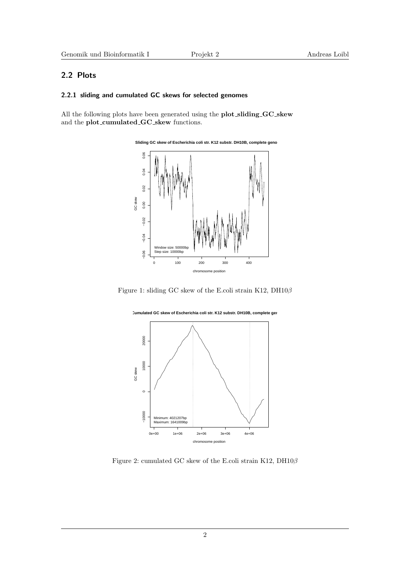### 2.2 Plots

#### 2.2.1 sliding and cumulated GC skews for selected genomes

All the following plots have been generated using the plot\_sliding\_GC\_skew and the plot\_cumulated\_GC\_skew functions.



Figure 1: sliding GC skew of the E.coli strain K12,  $\mathrm{DH10} \beta$ 



<span id="page-1-0"></span>Figure 2: cumulated GC skew of the E.coli strain K12, DH10β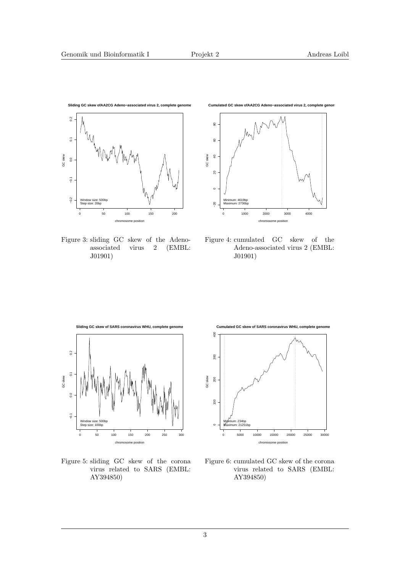

Figure 3: sliding GC skew of the Adenoassociated virus 2 (EMBL: J01901)



Figure 4: cumulated GC skew of the Adeno-associated virus 2 (EMBL: J01901)



Figure 5: sliding GC skew of the corona virus related to SARS (EMBL: AY394850)



Figure 6: cumulated GC skew of the corona virus related to SARS (EMBL: AY394850)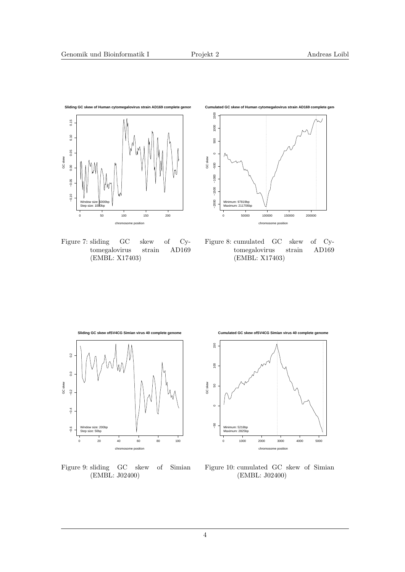

Figure 7: sliding GC skew of Cytomegalovirus strain (EMBL: X17403)



Figure 8: cumulated GC skew of Cy-<br>tomegalovirus strain AD169 tomegalovirus strain (EMBL: X17403)



Figure 9: sliding GC skew of Simian (EMBL: J02400)



Figure 10: cumulated GC skew of Simian (EMBL: J02400)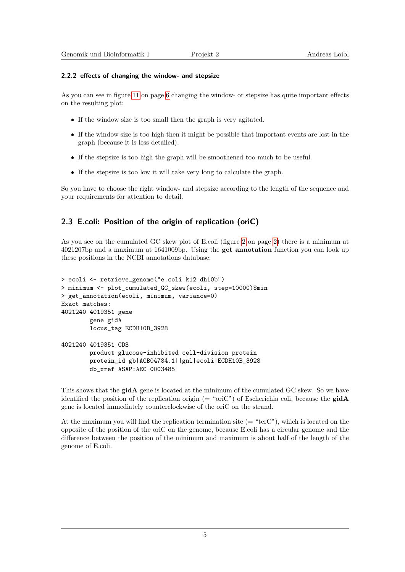#### 2.2.2 effects of changing the window- and stepsize

As you can see in figure [11](#page-5-0) on page [6](#page-5-0) changing the window- or stepsize has quite important effects on the resulting plot:

- If the window size is too small then the graph is very agitated.
- If the window size is too high then it might be possible that important events are lost in the graph (because it is less detailed).
- If the stepsize is too high the graph will be smoothened too much to be useful.
- If the stepsize is too low it will take very long to calculate the graph.

So you have to choose the right window- and stepsize according to the length of the sequence and your requirements for attention to detail.

## 2.3 E.coli: Position of the origin of replication (oriC)

As you see on the cumulated GC skew plot of E.coli (figure [2](#page-1-0) on page [2\)](#page-1-0) there is a minimum at 4021207bp and a maximum at 1641009bp. Using the get annotation function you can look up these positions in the NCBI annotations database:

```
> ecoli <- retrieve_genome("e.coli k12 dh10b")
> minimum <- plot_cumulated_GC_skew(ecoli, step=10000)$min
> get_annotation(ecoli, minimum, variance=0)
Exact matches:
4021240 4019351 gene
        gene gidA
        locus_tag ECDH10B_3928
4021240 4019351 CDS
        product glucose-inhibited cell-division protein
        protein_id gb|ACB04784.1||gnl|ecoli|ECDH10B_3928
        db_xref ASAP:AEC-0003485
```
This shows that the **gidA** gene is located at the minimum of the cumulated GC skew. So we have identified the position of the replication origin (= "oriC") of Escherichia coli, because the **gidA** gene is located immediately counterclockwise of the oriC on the strand.

At the maximum you will find the replication termination site  $(= "terC")$ , which is located on the opposite of the position of the oriC on the genome, because E.coli has a circular genome and the difference between the position of the minimum and maximum is about half of the length of the genome of E.coli.